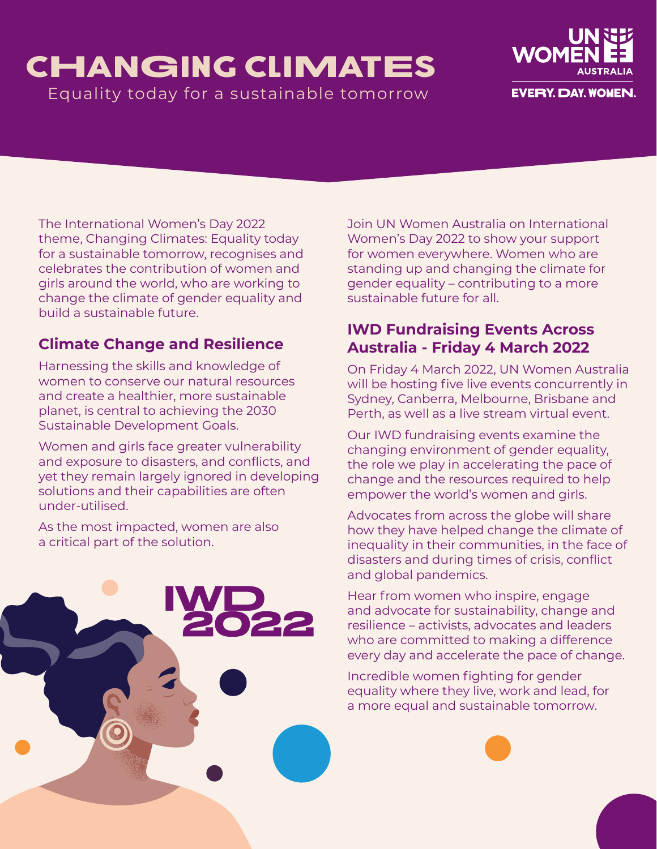## CHANGING CLIMATES Equality today for a sustainable tomorrow



The International Women's Day 2022 theme, Changing Climates: Equality today for a sustainable tomorrow, recognises and celebrates the contribution of women and girls around the world, who are working to change the climate of gender equality and build a sustainable future.

## **Climate Change and Resilience**

Harnessing the skills and knowledge of women to conserve our natural resources and create a healthier, more sustainable planet, is central to achieving the 2030 Sustainable Development Goals.

Women and girls face greater vulnerability and exposure to disasters, and conflicts, and yet they remain largely ignored in developing solutions and their capabilities are often under-utilised.

As the most impacted, women are also a critical part of the solution.



## **[IWD Fundraising Events Across](https://unwomen.org.au/get-involved/international-womens-day/)  [Australia - Friday 4 March 2022](https://unwomen.org.au/get-involved/international-womens-day/)**

On Friday 4 March 2022, UN Women Australia will be hosting five live events concurrently in Sydney, Canberra, Melbourne, Brisbane and Perth, as well as a live stream virtual event.

Our IWD fundraising events examine the changing environment of gender equality, the role we play in accelerating the pace of change and the resources required to help empower the world's women and girls.

Advocates from across the globe will share how they have helped change the climate of inequality in their communities, in the face of disasters and during times of crisis, conflict and global pandemics.

Hear from women who inspire, engage and advocate for sustainability, change and resilience – activists, advocates and leaders who are committed to making a difference every day and accelerate the pace of change.

Incredible women fighting for gender equality where they live, work and lead, for a more equal and sustainable tomorrow.